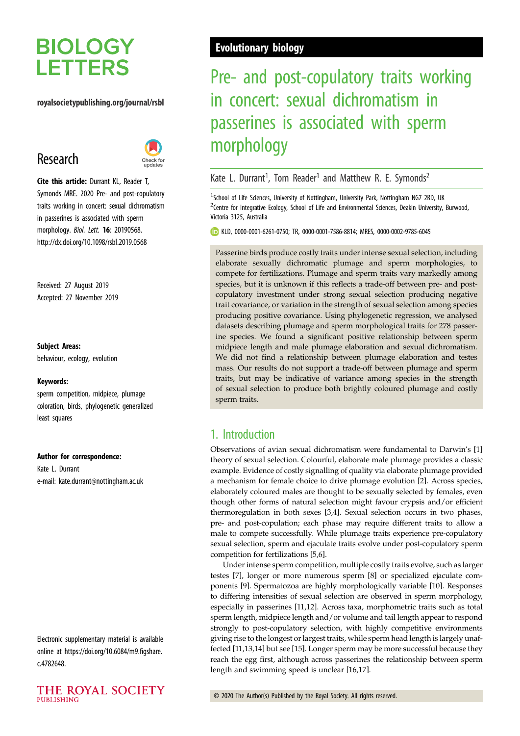# **BIOLOGY LETTERS**

### royalsocietypublishing.org/journal/rsbl

## Research



Cite this article: Durrant KL, Reader T, Symonds MRE. 2020 Pre- and post-copulatory traits working in concert: sexual dichromatism in passerines is associated with sperm morphology. Biol. Lett. 16: 20190568. http://dx.doi.org/10.1098/rsbl.2019.0568

Received: 27 August 2019 Accepted: 27 November 2019

### Subject Areas:

behaviour, ecology, evolution

#### Keywords:

sperm competition, midpiece, plumage coloration, birds, phylogenetic generalized least squares

#### Author for correspondence:

Kate L. Durrant e-mail: [kate.durrant@nottingham.ac.uk](mailto:kate.durrant@nottingham.ac.uk)

Electronic supplementary material is available online at [https://doi.org/10.6084/m9.figshare.](https://doi.org/10.6084/m9.figshare.c.4782648) [c.4782648.](https://doi.org/10.6084/m9.figshare.c.4782648)



## Evolutionary biology

## Pre- and post-copulatory traits working in concert: sexual dichromatism in passerines is associated with sperm morphology

### Kate L. Durrant<sup>1</sup>, Tom Reader<sup>1</sup> and Matthew R. E. Symonds<sup>2</sup>

<sup>1</sup>School of Life Sciences, University of Nottingham, University Park, Nottingham NG7 2RD, UK <sup>2</sup>Centre for Integrative Ecology, School of Life and Environmental Sciences, Deakin University, Burwood, Victoria 3125, Australia

KLD, [0000-0001-6261-0750](http://orcid.org/0000-0001-6261-0750); TR, [0000-0001-7586-8814](http://orcid.org/0000-0001-7586-8814); MRES, [0000-0002-9785-6045](http://orcid.org/0000-0002-9785-6045)

Passerine birds produce costly traits under intense sexual selection, including elaborate sexually dichromatic plumage and sperm morphologies, to compete for fertilizations. Plumage and sperm traits vary markedly among species, but it is unknown if this reflects a trade-off between pre- and postcopulatory investment under strong sexual selection producing negative trait covariance, or variation in the strength of sexual selection among species producing positive covariance. Using phylogenetic regression, we analysed datasets describing plumage and sperm morphological traits for 278 passerine species. We found a significant positive relationship between sperm midpiece length and male plumage elaboration and sexual dichromatism. We did not find a relationship between plumage elaboration and testes mass. Our results do not support a trade-off between plumage and sperm traits, but may be indicative of variance among species in the strength of sexual selection to produce both brightly coloured plumage and costly sperm traits.

## 1. Introduction

Observations of avian sexual dichromatism were fundamental to Darwin's [\[1\]](#page-4-0) theory of sexual selection. Colourful, elaborate male plumage provides a classic example. Evidence of costly signalling of quality via elaborate plumage provided a mechanism for female choice to drive plumage evolution [\[2\]](#page-4-0). Across species, elaborately coloured males are thought to be sexually selected by females, even though other forms of natural selection might favour crypsis and/or efficient thermoregulation in both sexes [[3,4\]](#page-4-0). Sexual selection occurs in two phases, pre- and post-copulation; each phase may require different traits to allow a male to compete successfully. While plumage traits experience pre-copulatory sexual selection, sperm and ejaculate traits evolve under post-copulatory sperm competition for fertilizations [\[5,6](#page-4-0)].

Under intense sperm competition, multiple costly traits evolve, such as larger testes [\[7\]](#page-4-0), longer or more numerous sperm [\[8\]](#page-4-0) or specialized ejaculate components [\[9\]](#page-4-0). Spermatozoa are highly morphologically variable [[10\]](#page-4-0). Responses to differing intensities of sexual selection are observed in sperm morphology, especially in passerines [\[11,12\]](#page-4-0). Across taxa, morphometric traits such as total sperm length, midpiece length and/or volume and tail length appear to respond strongly to post-copulatory selection, with highly competitive environments giving rise to the longest or largest traits, while sperm head length is largely unaffected [\[11,13,14](#page-4-0)] but see [\[15](#page-4-0)]. Longer sperm may be more successful because they reach the egg first, although across passerines the relationship between sperm length and swimming speed is unclear [\[16](#page-4-0),[17\]](#page-4-0).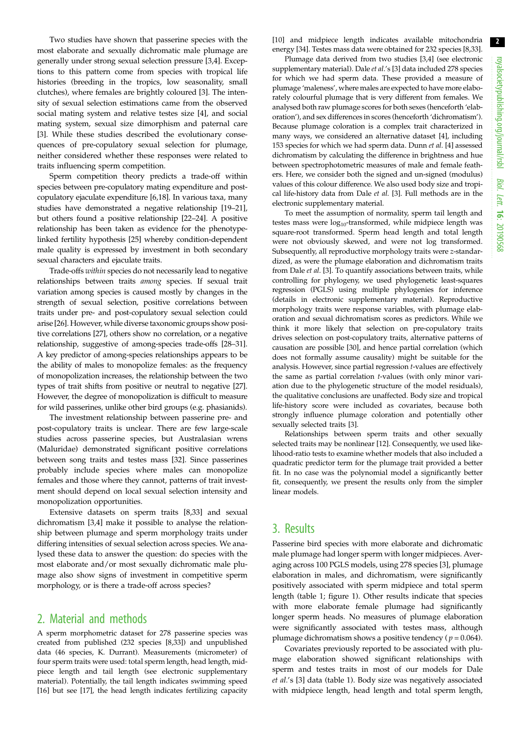2

Two studies have shown that passerine species with the most elaborate and sexually dichromatic male plumage are generally under strong sexual selection pressure [\[3](#page-4-0),[4](#page-4-0)]. Exceptions to this pattern come from species with tropical life histories (breeding in the tropics, low seasonality, small clutches), where females are brightly coloured [[3](#page-4-0)]. The intensity of sexual selection estimations came from the observed social mating system and relative testes size [\[4\]](#page-4-0), and social mating system, sexual size dimorphism and paternal care [\[3\]](#page-4-0). While these studies described the evolutionary consequences of pre-copulatory sexual selection for plumage, neither considered whether these responses were related to traits influencing sperm competition.

Sperm competition theory predicts a trade-off within species between pre-copulatory mating expenditure and postcopulatory ejaculate expenditure [[6,18](#page-4-0)]. In various taxa, many studies have demonstrated a negative relationship [\[19](#page-4-0)–[21](#page-4-0)], but others found a positive relationship [[22](#page-4-0)–[24\]](#page-4-0). A positive relationship has been taken as evidence for the phenotypelinked fertility hypothesis [\[25\]](#page-4-0) whereby condition-dependent male quality is expressed by investment in both secondary sexual characters and ejaculate traits.

Trade-offs within species do not necessarily lead to negative relationships between traits among species. If sexual trait variation among species is caused mostly by changes in the strength of sexual selection, positive correlations between traits under pre- and post-copulatory sexual selection could arise [\[26\]](#page-4-0). However, while diverse taxonomic groups show positive correlations [\[27](#page-4-0)], others show no correlation, or a negative relationship, suggestive of among-species trade-offs [\[28](#page-4-0)–[31](#page-5-0)]. A key predictor of among-species relationships appears to be the ability of males to monopolize females: as the frequency of monopolization increases, the relationship between the two types of trait shifts from positive or neutral to negative [[27](#page-4-0)]. However, the degree of monopolization is difficult to measure for wild passerines, unlike other bird groups (e.g. phasianids).

The investment relationship between passerine pre- and post-copulatory traits is unclear. There are few large-scale studies across passerine species, but Australasian wrens (Maluridae) demonstrated significant positive correlations between song traits and testes mass [[32](#page-5-0)]. Since passerines probably include species where males can monopolize females and those where they cannot, patterns of trait investment should depend on local sexual selection intensity and monopolization opportunities.

Extensive datasets on sperm traits [\[8,](#page-4-0)[33\]](#page-5-0) and sexual dichromatism [\[3,4\]](#page-4-0) make it possible to analyse the relationship between plumage and sperm morphology traits under differing intensities of sexual selection across species. We analysed these data to answer the question: do species with the most elaborate and/or most sexually dichromatic male plumage also show signs of investment in competitive sperm morphology, or is there a trade-off across species?

### 2. Material and methods

A sperm morphometric dataset for 278 passerine species was created from published (232 species [\[8,](#page-4-0)[33](#page-5-0)]) and unpublished data (46 species, K. Durrant). Measurements (micrometer) of four sperm traits were used: total sperm length, head length, midpiece length and tail length (see electronic supplementary material). Potentially, the tail length indicates swimming speed [\[16\]](#page-4-0) but see [[17](#page-4-0)], the head length indicates fertilizing capacity

[[10](#page-4-0)] and midpiece length indicates available mitochondria energy [[34](#page-5-0)]. Testes mass data were obtained for 232 species [\[8](#page-4-0)[,33\]](#page-5-0).

Plumage data derived from two studies [[3,4](#page-4-0)] (see electronic supplementary material). Dale et al.'s [[3\]](#page-4-0) data included 278 species for which we had sperm data. These provided a measure of plumage 'maleness', where males are expected to have more elaborately colourful plumage that is very different from females. We analysed both raw plumage scores for both sexes (henceforth 'elaboration'), and sex differences in scores (henceforth 'dichromatism'). Because plumage coloration is a complex trait characterized in many ways, we considered an alternative dataset [\[4](#page-4-0)], including 153 species for which we had sperm data. Dunn et al. [\[4\]](#page-4-0) assessed dichromatism by calculating the difference in brightness and hue between spectrophotometric measures of male and female feathers. Here, we consider both the signed and un-signed (modulus) values of this colour difference. We also used body size and tropical life-history data from Dale et al. [[3\]](#page-4-0). Full methods are in the electronic supplementary material.

To meet the assumption of normality, sperm tail length and testes mass were  $log_{10}$ -transformed, while midpiece length was square-root transformed. Sperm head length and total length were not obviously skewed, and were not log transformed. Subsequently, all reproductive morphology traits were z-standardized, as were the plumage elaboration and dichromatism traits from Dale et al. [[3\]](#page-4-0). To quantify associations between traits, while controlling for phylogeny, we used phylogenetic least-squares regression (PGLS) using multiple phylogenies for inference (details in electronic supplementary material). Reproductive morphology traits were response variables, with plumage elaboration and sexual dichromatism scores as predictors. While we think it more likely that selection on pre-copulatory traits drives selection on post-copulatory traits, alternative patterns of causation are possible [[30](#page-5-0)], and hence partial correlation (which does not formally assume causality) might be suitable for the analysis. However, since partial regression t-values are effectively the same as partial correlation t-values (with only minor variation due to the phylogenetic structure of the model residuals), the qualitative conclusions are unaffected. Body size and tropical life-history score were included as covariates, because both strongly influence plumage coloration and potentially other sexually selected traits [[3\]](#page-4-0).

Relationships between sperm traits and other sexually selected traits may be nonlinear [[12](#page-4-0)]. Consequently, we used likelihood-ratio tests to examine whether models that also included a quadratic predictor term for the plumage trait provided a better fit. In no case was the polynomial model a significantly better fit, consequently, we present the results only from the simpler linear models.

### 3. Results

Passerine bird species with more elaborate and dichromatic male plumage had longer sperm with longer midpieces. Averaging across 100 PGLS models, using 278 species [\[3\]](#page-4-0), plumage elaboration in males, and dichromatism, were significantly positively associated with sperm midpiece and total sperm length [\(table 1](#page-2-0); [figure 1](#page-3-0)). Other results indicate that species with more elaborate female plumage had significantly longer sperm heads. No measures of plumage elaboration were significantly associated with testes mass, although plumage dichromatism shows a positive tendency ( $p = 0.064$ ).

Covariates previously reported to be associated with plumage elaboration showed significant relationships with sperm and testes traits in most of our models for Dale et al.'s [[3](#page-4-0)] data ([table 1](#page-2-0)). Body size was negatively associated with midpiece length, head length and total sperm length,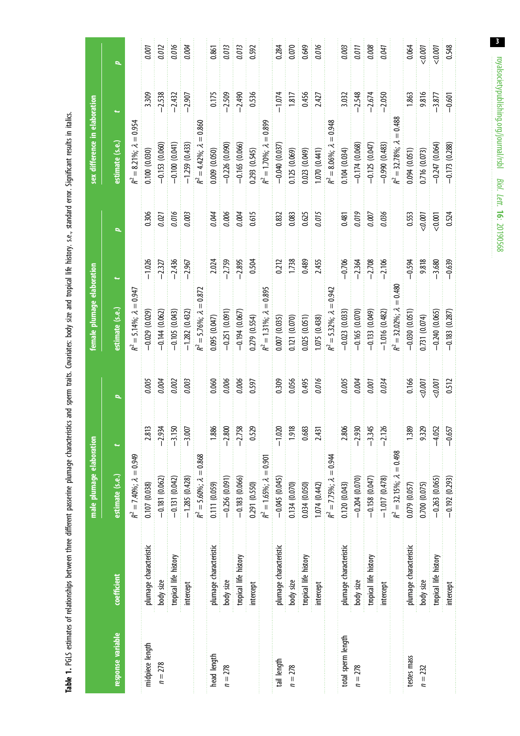Table 1. PGLS estimates of relationships between three different passerine plumage characteristics and sperm traits. Covariates: body size and tropical life history. s.e., standard error. Significant results in italics. Table 1. PGLS estimates of relationships between three different passerine plumage characteristics and sperm traits. Covariates: body size and tropical life history. s.e., standard error. Significant results in italics.

<span id="page-2-0"></span>

|                    |                        | male plumage elaboration            |                      |                          | female plumage elaboration               |          |       | sex difference in elaboration           |           |          |
|--------------------|------------------------|-------------------------------------|----------------------|--------------------------|------------------------------------------|----------|-------|-----------------------------------------|-----------|----------|
| response variable  | coefficient            | estimate (s.e.)                     |                      | $\overline{\phantom{0}}$ | estimate (s.e.)                          |          |       | estimate (s.e.)                         |           |          |
|                    |                        | $R^2 = 7.40\%; \ \lambda = 0.949$   |                      |                          | $R^2 = 5.14\%; \ \lambda = 0.947$        |          |       | $R^2 = 8.21\%; \ \lambda = 0.954$       |           |          |
| midpiece length    | plumage characteristic | 0.107 (0.038)                       | 2.813                | 0.005                    | $-0.029(0.029)$                          | $-1.026$ | 0.306 | 0.100(0.030)                            | 3.309     | 0.001    |
| $n = 278$          | body size              | $-0.181(0.062)$                     | $-2.934$<br>$-3.150$ | 0.004                    | $-0.144(0.062)$                          | $-2.327$ | 0.021 | $-0.153(0.060)$                         | $-2.538$  | 0.012    |
|                    | tropical life history  | $-0.131(0.042)$                     |                      | 0.002                    | $-0.105(0.043)$                          | $-2.436$ | 0.016 | $-0.100(0.041)$                         | $-2.432$  | 0.016    |
|                    | intercept              | $-1.285(0.428)$                     | $-3.007$             | 0.003                    | $-1.282(0.432)$                          | $-2.967$ | 0.003 | $-1.259(0.433)$                         | $-2.907$  | 0.004    |
|                    |                        | $R^2 = 5.60\%; \ \lambda = 0.868$   |                      |                          | $= 0.872$<br>$R^2 = 5.76\%; \lambda$     |          |       | $= 0.860$<br>$R^2 = 4.42\%; \lambda$    |           |          |
| head length        | plumage characteristic | 0.111 (0.059)                       | 1.886                | 0.060                    | 0.095 (0.047)                            | 2.024    | 0.044 | 0.009 (0.050)                           | 0.175     | 0.861    |
| $n = 278$          | body size              | $-0.256$ $(0.091)$                  | $-2.800$             | 0.006                    | $-0.251(0.091)$                          | $-2.759$ | 0.006 | $-0.226(0.090)$                         | $-2.509$  | 0.013    |
|                    | tropical life history  | $-0.183(0.066)$                     | $-2.758$             | 0.006                    | $-0.194(0.067)$                          | $-2.895$ | 0.004 | $-0.165(0.066)$                         | $-2.490$  | 0.013    |
|                    | intercept              | 0.291 (0.550)                       | 0.529                | 0.597                    | 0.279 (0.554)                            | 0.504    | 0.615 | 0.293 (0.545)                           | 0.536     | 0.592    |
|                    |                        | $R^2 = 1.65\%; \ \lambda = 0.901$   |                      |                          | $= 0.895$<br>$R^2 = 1.31\%; \lambda$     |          |       | $= 0.899$<br>$R^2 = 1.70\%$ ; $\lambda$ |           |          |
| tail length        | plumage characteristic | $-0.045(0.045)$                     | $-1.020$             | 0.309                    | 0.007 (0.035)                            | 0.212    | 0.832 | $-0.040(0.037)$                         | $-1.074$  | 0.284    |
| $n = 278$          | body size              | 0.134 (0.070)                       | 1.918                | 0.056                    | 0.121 (0.070)                            | 1.738    | 0.083 | 0.125 (0.069)                           | 1.817     | 0.070    |
|                    | tropical life history  | 0.034 (0.050)                       | 0.683                | 0.495                    | 0.025 (0.051)                            | 0.489    | 0.625 | 0.023 (0.049)                           | 0.456     | 0.649    |
|                    | intercept              | 1.074 (0.442)                       | 2.431                | 0.016                    | 1.075(0.438)                             | 2.455    | 0.015 | 1.070 (0.441)                           | 2.427     | 0.016    |
|                    |                        | $R^2 = 7.75\%; \ \lambda = 0.944$   |                      |                          | $= 0.942$<br>$R^2 = 5.32\%; \lambda$     |          |       | $= 0.948$<br>$R^2 = 8.06\%; \lambda$    |           |          |
| total sperm length | plumage characteristic | 0.120 (0.043)                       | 2.806                | 0.005                    | $-0.023(0.033)$                          | $-0.706$ | 0.481 | 0.104(0.034)                            | 3.032     | 0.003    |
| $n = 278$          | body size              | $-0.204(0.070)$                     | $-2.930$             | 0.004                    | $-0.165(0.070)$                          | $-2.364$ | 0.019 | $-0.174(0.068)$                         | $-2.548$  | 0.011    |
|                    | tropical life history  | $-0.158(0.047)$                     | $-3.345$             | 0.001                    | $-0.133(0.049)$                          | $-2.708$ | 0.007 | $-0.125(0.047)$                         | $-2.674$  | 0.008    |
|                    | intercept              | $-1.017(0.478)$                     | $-2.126$             | 0.034                    | $-1.016(0.482)$                          | $-2.106$ | 0.036 | $-0.990(0.483)$                         | $-2.050$  | 0.041    |
|                    |                        | $R^2 = 32.15\%$ ; $\lambda = 0.498$ |                      |                          | $= 0.480$<br>$R^2 = 32.02\%$ ; $\lambda$ |          |       | $R^2 = 32.78\%; \lambda$                | $= 0.488$ |          |
| testes mass        | plumage characteristic | 0.079 (0.057)                       | 1.389                | 0.166                    | $-0.030(0.051)$                          | $-0.594$ | 0.553 | 0.094 (0.051)                           | 1.863     | 0.064    |
| $n = 232$          | body size              | 0.700 (0.075)                       | 9.329                | 0.007                    | 0.731 (0.074)                            | 9.818    | 0.007 | 0.716 (0.073)                           | 9.816     | $-0.001$ |
|                    | tropical life history  | $-0.263(0.065)$                     | $-4.052$             | 0.007                    | $-0.240(0.065)$                          | $-3.680$ | 0.001 | $-0.247(0.064)$                         | $-3.877$  | 0.007    |
|                    | intercept              | $-0.192(0.293)$                     | $-0.657$             | 0.512                    | $-0.183(0.287)$                          | $-0.639$ | 0.524 | $-0.173(0.288)$                         | $-0.601$  | 0.548    |

royalsocietypublishing.org/journal/rsbl Biol. Lett. 16: royalsocietypublishing.org/journal/rsbl *Biol. Lett.* 16: 20190568

 $\overline{\mathbf{3}}$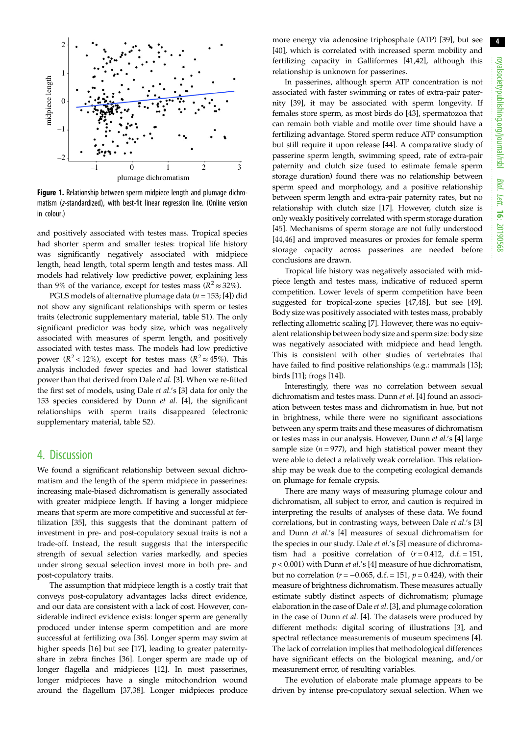<span id="page-3-0"></span>

Figure 1. Relationship between sperm midpiece length and plumage dichromatism (z-standardized), with best-fit linear regression line. (Online version in colour.)

and positively associated with testes mass. Tropical species had shorter sperm and smaller testes: tropical life history was significantly negatively associated with midpiece length, head length, total sperm length and testes mass. All models had relatively low predictive power, explaining less than 9% of the variance, except for testes mass ( $R^2 \approx 32\%$ ).

PGLS models of alternative plumage data ( $n = 153$ ; [[4](#page-4-0)]) did not show any significant relationships with sperm or testes traits (electronic supplementary material, table S1). The only significant predictor was body size, which was negatively associated with measures of sperm length, and positively associated with testes mass. The models had low predictive power ( $R^2$  < 12%), except for testes mass ( $R^2 \approx 45\%$ ). This analysis included fewer species and had lower statistical power than that derived from Dale et al. [[3](#page-4-0)]. When we re-fitted the first set of models, using Dale et al.'s [[3](#page-4-0)] data for only the 153 species considered by Dunn et al. [[4](#page-4-0)], the significant relationships with sperm traits disappeared (electronic supplementary material, table S2).

### 4. Discussion

We found a significant relationship between sexual dichromatism and the length of the sperm midpiece in passerines: increasing male-biased dichromatism is generally associated with greater midpiece length. If having a longer midpiece means that sperm are more competitive and successful at fertilization [\[35](#page-5-0)], this suggests that the dominant pattern of investment in pre- and post-copulatory sexual traits is not a trade-off. Instead, the result suggests that the interspecific strength of sexual selection varies markedly, and species under strong sexual selection invest more in both pre- and post-copulatory traits.

The assumption that midpiece length is a costly trait that conveys post-copulatory advantages lacks direct evidence, and our data are consistent with a lack of cost. However, considerable indirect evidence exists: longer sperm are generally produced under intense sperm competition and are more successful at fertilizing ova [\[36](#page-5-0)]. Longer sperm may swim at higher speeds [[16\]](#page-4-0) but see [[17\]](#page-4-0), leading to greater paternityshare in zebra finches [\[36](#page-5-0)]. Longer sperm are made up of longer flagella and midpieces [[12\]](#page-4-0). In most passerines, longer midpieces have a single mitochondrion wound around the flagellum [[37,38\]](#page-5-0). Longer midpieces produce more energy via adenosine triphosphate (ATP) [\[39](#page-5-0)], but see [[40\]](#page-5-0), which is correlated with increased sperm mobility and fertilizing capacity in Galliformes [[41,42](#page-5-0)], although this relationship is unknown for passerines.

In passerines, although sperm ATP concentration is not associated with faster swimming or rates of extra-pair paternity [[39\]](#page-5-0), it may be associated with sperm longevity. If females store sperm, as most birds do [\[43](#page-5-0)], spermatozoa that can remain both viable and motile over time should have a fertilizing advantage. Stored sperm reduce ATP consumption but still require it upon release [\[44](#page-5-0)]. A comparative study of passerine sperm length, swimming speed, rate of extra-pair paternity and clutch size (used to estimate female sperm storage duration) found there was no relationship between sperm speed and morphology, and a positive relationship between sperm length and extra-pair paternity rates, but no relationship with clutch size [[17\]](#page-4-0). However, clutch size is only weakly positively correlated with sperm storage duration [[45\]](#page-5-0). Mechanisms of sperm storage are not fully understood [[44,46\]](#page-5-0) and improved measures or proxies for female sperm storage capacity across passerines are needed before conclusions are drawn.

Tropical life history was negatively associated with midpiece length and testes mass, indicative of reduced sperm competition. Lower levels of sperm competition have been suggested for tropical-zone species [[47,48\]](#page-5-0), but see [[49\]](#page-5-0). Body size was positively associated with testes mass, probably reflecting allometric scaling [\[7\]](#page-4-0). However, there was no equivalent relationship between body size and sperm size: body size was negatively associated with midpiece and head length. This is consistent with other studies of vertebrates that have failed to find positive relationships (e.g.: mammals [[13\]](#page-4-0); birds [\[11\]](#page-4-0); frogs [[14\]](#page-4-0)).

Interestingly, there was no correlation between sexual dichromatism and testes mass. Dunn et al. [[4](#page-4-0)] found an association between testes mass and dichromatism in hue, but not in brightness, while there were no significant associations between any sperm traits and these measures of dichromatism or testes mass in our analysis. However, Dunn et al.'s [[4](#page-4-0)] large sample size  $(n = 977)$ , and high statistical power meant they were able to detect a relatively weak correlation. This relationship may be weak due to the competing ecological demands on plumage for female crypsis.

There are many ways of measuring plumage colour and dichromatism, all subject to error, and caution is required in interpreting the results of analyses of these data. We found correlations, but in contrasting ways, between Dale et al.'s [\[3\]](#page-4-0) and Dunn et al.'s [[4](#page-4-0)] measures of sexual dichromatism for the species in our study. Dale et al.'s [\[3\]](#page-4-0) measure of dichromatism had a positive correlation of  $(r = 0.412, d.f. = 151,$  $p < 0.001$ ) with Dunn *et al.'s* [\[4\]](#page-4-0) measure of hue dichromatism, but no correlation ( $r = -0.065$ , d.f. = 151,  $p = 0.424$ ), with their measure of brightness dichromatism. These measures actually estimate subtly distinct aspects of dichromatism; plumage elaboration in the case of Dale et al. [\[3\]](#page-4-0), and plumage coloration in the case of Dunn et al. [[4](#page-4-0)]. The datasets were produced by different methods: digital scoring of illustrations [[3](#page-4-0)], and spectral reflectance measurements of museum specimens [\[4\]](#page-4-0). The lack of correlation implies that methodological differences have significant effects on the biological meaning, and/or measurement error, of resulting variables.

The evolution of elaborate male plumage appears to be driven by intense pre-copulatory sexual selection. When we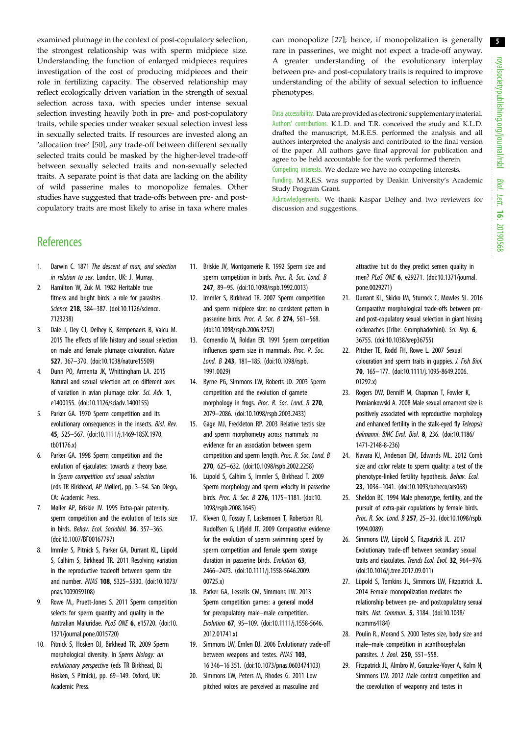5

<span id="page-4-0"></span>examined plumage in the context of post-copulatory selection, the strongest relationship was with sperm midpiece size. Understanding the function of enlarged midpieces requires investigation of the cost of producing midpieces and their role in fertilizing capacity. The observed relationship may reflect ecologically driven variation in the strength of sexual selection across taxa, with species under intense sexual selection investing heavily both in pre- and post-copulatory traits, while species under weaker sexual selection invest less in sexually selected traits. If resources are invested along an 'allocation tree' [[50\]](#page-5-0), any trade-off between different sexually selected traits could be masked by the higher-level trade-off between sexually selected traits and non-sexually selected traits. A separate point is that data are lacking on the ability of wild passerine males to monopolize females. Other studies have suggested that trade-offs between pre- and postcopulatory traits are most likely to arise in taxa where males can monopolize [27]; hence, if monopolization is generally rare in passerines, we might not expect a trade-off anyway. A greater understanding of the evolutionary interplay between pre- and post-copulatory traits is required to improve understanding of the ability of sexual selection to influence phenotypes.

Data accessibility. Data are provided as electronic supplementary material. Authors' contributions. K.L.D. and T.R. conceived the study and K.L.D. drafted the manuscript, M.R.E.S. performed the analysis and all authors interpreted the analysis and contributed to the final version of the paper. All authors gave final approval for publication and agree to be held accountable for the work performed therein. Competing interests. We declare we have no competing interests.

Funding. M.R.E.S. was supported by Deakin University's Academic Study Program Grant.

Acknowledgements. We thank Kaspar Delhey and two reviewers for discussion and suggestions.

### **References**

- 1. Darwin C. 1871 The descent of man, and selection in relation to sex. London, UK: J. Murray.
- 2. Hamilton W, Zuk M. 1982 Heritable true fitness and bright birds: a role for parasites. Science 218, 384-387. ([doi:10.1126/science.](http://dx.doi.org/10.1126/science.7123238) [7123238\)](http://dx.doi.org/10.1126/science.7123238)
- 3. Dale J, Dey CJ, Delhey K, Kempenaers B, Valcu M. 2015 The effects of life history and sexual selection on male and female plumage colouration. Nature 527, 367–370. ([doi:10.1038/nature15509\)](http://dx.doi.org/10.1038/nature15509)
- 4. Dunn PO, Armenta JK, Whittingham LA. 2015 Natural and sexual selection act on different axes of variation in avian plumage color. Sci. Adv. 1, e1400155. ([doi:10.1126/sciadv.1400155](http://dx.doi.org/10.1126/sciadv.1400155))
- 5. Parker GA. 1970 Sperm competition and its evolutionary consequences in the insects. Biol. Rev. 45, 525–567. ([doi:10.1111/j.1469-185X.1970.](http://dx.doi.org/10.1111/j.1469-185X.1970.tb01176.x) [tb01176.x](http://dx.doi.org/10.1111/j.1469-185X.1970.tb01176.x))
- 6. Parker GA. 1998 Sperm competition and the evolution of ejaculates: towards a theory base. In Sperm competition and sexual selection (eds TR Birkhead, AP Møller), pp. 3–54. San Diego, CA: Academic Press.
- 7. Møller AP, Briskie JV. 1995 Extra-pair paternity, sperm competition and the evolution of testis size in birds. Behav. Ecol. Sociobiol. 36, 357–365. [\(doi:10.1007/BF00167797\)](http://dx.doi.org/10.1007/BF00167797)
- 8. Immler S, Pitnick S, Parker GA, Durrant KL, Lüpold S, Calhim S, Birkhead TR. 2011 Resolving variation in the reproductive tradeoff between sperm size and number. PNAS 108, 5325–5330. ([doi:10.1073/](http://dx.doi.org/10.1073/pnas.1009059108) [pnas.1009059108](http://dx.doi.org/10.1073/pnas.1009059108))
- 9. Rowe M., Pruett-Jones S. 2011 Sperm competition selects for sperm quantity and quality in the Australian Maluridae. PLoS ONE 6, e15720. ([doi:10.](http://dx.doi.org/10.1371/journal.pone.0015720) [1371/journal.pone.0015720\)](http://dx.doi.org/10.1371/journal.pone.0015720)
- 10. Pitnick S, Hosken DJ, Birkhead TR. 2009 Sperm morphological diversity. In Sperm biology: an evolutionary perspective (eds TR Birkhead, DJ Hosken, S Pitnick), pp. 69–149. Oxford, UK: Academic Press.
- 11. Briskie JV, Montgomerie R. 1992 Sperm size and sperm competition in birds. Proc. R. Soc. Lond. B 247, 89–95. ([doi:10.1098/rspb.1992.0013](http://dx.doi.org/10.1098/rspb.1992.0013))
- 12. Immler S, Birkhead TR. 2007 Sperm competition and sperm midpiece size: no consistent pattern in passerine birds. Proc. R. Soc. B 274, 561-568. [\(doi:10.1098/rspb.2006.3752\)](http://dx.doi.org/10.1098/rspb.2006.3752)
- 13. Gomendio M, Roldan ER. 1991 Sperm competition influences sperm size in mammals. Proc. R. Soc. Lond. B 243, 181-185. ([doi:10.1098/rspb.](http://dx.doi.org/10.1098/rspb.1991.0029) [1991.0029\)](http://dx.doi.org/10.1098/rspb.1991.0029)
- 14. Byrne PG, Simmons LW, Roberts JD. 2003 Sperm competition and the evolution of gamete morphology in frogs. Proc. R. Soc. Lond. B 270, 2079–2086. [\(doi:10.1098/rspb.2003.2433](http://dx.doi.org/10.1098/rspb.2003.2433))
- 15. Gage MJ, Freckleton RP. 2003 Relative testis size and sperm morphometry across mammals: no evidence for an association between sperm competition and sperm length. Proc. R. Soc. Lond. B 270, 625–632. ([doi:10.1098/rspb.2002.2258](http://dx.doi.org/10.1098/rspb.2002.2258))
- 16. Lüpold S, Calhim S, Immler S, Birkhead T. 2009 Sperm morphology and sperm velocity in passerine birds. Proc. R. Soc. B 276, 1175–1181. ([doi:10.](http://dx.doi.org/10.1098/rspb.2008.1645) [1098/rspb.2008.1645\)](http://dx.doi.org/10.1098/rspb.2008.1645)
- 17. Kleven O, Fossøy F, Laskemoen T, Robertson RJ, Rudolfsen G, Lifjeld JT. 2009 Comparative evidence for the evolution of sperm swimming speed by sperm competition and female sperm storage duration in passerine birds. Evolution 63, 2466–2473. [\(doi:10.1111/j.1558-5646.2009.](http://dx.doi.org/10.1111/j.1558-5646.2009.00725.x) [00725.x](http://dx.doi.org/10.1111/j.1558-5646.2009.00725.x))
- 18. Parker GA, Lessells CM, Simmons LW. 2013 Sperm competition games: a general model for precopulatory male–male competition. Evolution 67, 95–109. [\(doi:10.1111/j.1558-5646.](http://dx.doi.org/10.1111/j.1558-5646.2012.01741.x) [2012.01741.x\)](http://dx.doi.org/10.1111/j.1558-5646.2012.01741.x)
- 19. Simmons LW, Emlen DJ. 2006 Evolutionary trade-off between weapons and testes. PNAS 103, 16 346–16 351. ([doi:10.1073/pnas.0603474103](http://dx.doi.org/10.1073/pnas.0603474103))
- 20. Simmons LW, Peters M, Rhodes G. 2011 Low pitched voices are perceived as masculine and

attractive but do they predict semen quality in men? PLoS ONE 6, e29271. ([doi:10.1371/journal.](http://dx.doi.org/10.1371/journal.pone.0029271) [pone.0029271\)](http://dx.doi.org/10.1371/journal.pone.0029271)

- 21. Durrant KL, Skicko IM, Sturrock C, Mowles SL. 2016 Comparative morphological trade-offs between preand post-copulatory sexual selection in giant hissing cockroaches (Tribe: Gromphadorhini). Sci. Rep. 6, 36755. [\(doi:10.1038/srep36755](http://dx.doi.org/10.1038/srep36755))
- 22. Pitcher TE, Rodd FH, Rowe L. 2007 Sexual colouration and sperm traits in guppies. J. Fish Biol. 70, 165–177. ([doi:10.1111/j.1095-8649.2006.](http://dx.doi.org/10.1111/j.1095-8649.2006.01292.x) [01292.x](http://dx.doi.org/10.1111/j.1095-8649.2006.01292.x))
- 23. Rogers DW, Denniff M, Chapman T, Fowler K, Pomiankowski A. 2008 Male sexual ornament size is positively associated with reproductive morphology and enhanced fertility in the stalk-eyed fly Teleopsis dalmanni. BMC Evol. Biol. 8, 236. ([doi:10.1186/](http://dx.doi.org/10.1186/1471-2148-8-236) [1471-2148-8-236](http://dx.doi.org/10.1186/1471-2148-8-236))
- 24. Navara KJ, Anderson EM, Edwards ML. 2012 Comb size and color relate to sperm quality: a test of the phenotype-linked fertility hypothesis. Behav. Ecol. 23, 1036–1041. [\(doi:10.1093/beheco/ars068\)](http://dx.doi.org/10.1093/beheco/ars068)
- 25. Sheldon BC. 1994 Male phenotype, fertility, and the pursuit of extra-pair copulations by female birds. Proc. R. Soc. Lond. B 257, 25–30. ([doi:10.1098/rspb.](http://dx.doi.org/10.1098/rspb.1994.0089) [1994.0089](http://dx.doi.org/10.1098/rspb.1994.0089))
- 26. Simmons LW, Lüpold S, Fitzpatrick JL. 2017 Evolutionary trade-off between secondary sexual traits and ejaculates. Trends Ecol. Evol. 32, 964–976. ([doi:10.1016/j.tree.2017.09.011\)](http://dx.doi.org/10.1016/j.tree.2017.09.011)
- 27. Lüpold S, Tomkins JL, Simmons LW, Fitzpatrick JL. 2014 Female monopolization mediates the relationship between pre- and postcopulatory sexual traits. Nat. Commun. 5, 3184. [\(doi:10.1038/](http://dx.doi.org/10.1038/ncomms4184) [ncomms4184](http://dx.doi.org/10.1038/ncomms4184))
- 28. Poulin R., Morand S. 2000 Testes size, body size and male–male competition in acanthocephalan parasites. J. Zool. 250, 551–558.
- 29. Fitzpatrick JL, Almbro M, Gonzalez-Voyer A, Kolm N, Simmons LW. 2012 Male contest competition and the coevolution of weaponry and testes in